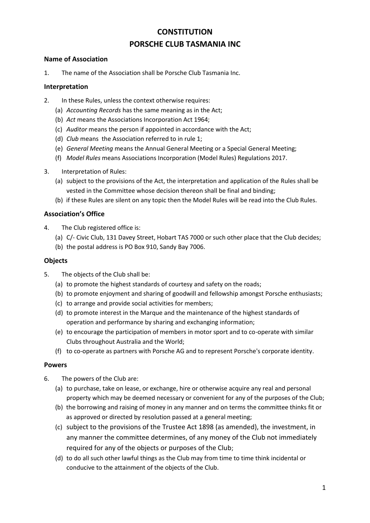# **CONSTITUTION PORSCHE CLUB TASMANIA INC**

#### **Name of Association**

1. The name of the Association shall be Porsche Club Tasmania Inc.

#### **Interpretation**

- 2. In these Rules, unless the context otherwise requires:
	- (a) *Accounting Records* has the same meaning as in the Act;
	- (b) *Act* means the Associations Incorporation Act 1964;
	- (c) *Auditor* means the person if appointed in accordance with the Act;
	- (d) *Club* means the Association referred to in rule 1;
	- (e) *General Meeting* means the Annual General Meeting or a Special General Meeting;
	- (f) *Model Rules* means Associations Incorporation (Model Rules) Regulations 2017.
- 3. Interpretation of Rules:
	- (a) subject to the provisions of the Act, the interpretation and application of the Rules shall be vested in the Committee whose decision thereon shall be final and binding;
	- (b) if these Rules are silent on any topic then the Model Rules will be read into the Club Rules.

#### **Association's Office**

- 4. The Club registered office is:
	- (a) C/- Civic Club, 131 Davey Street, Hobart TAS 7000 or such other place that the Club decides;
	- (b) the postal address is PO Box 910, Sandy Bay 7006.

#### **Objects**

- 5. The objects of the Club shall be:
	- (a) to promote the highest standards of courtesy and safety on the roads;
	- (b) to promote enjoyment and sharing of goodwill and fellowship amongst Porsche enthusiasts;
	- (c) to arrange and provide social activities for members;
	- (d) to promote interest in the Marque and the maintenance of the highest standards of operation and performance by sharing and exchanging information;
	- (e) to encourage the participation of members in motor sport and to co-operate with similar Clubs throughout Australia and the World;
	- (f) to co-operate as partners with Porsche AG and to represent Porsche's corporate identity.

#### **Powers**

- 6. The powers of the Club are:
	- (a) to purchase, take on lease, or exchange, hire or otherwise acquire any real and personal property which may be deemed necessary or convenient for any of the purposes of the Club;
	- (b) the borrowing and raising of money in any manner and on terms the committee thinks fit or as approved or directed by resolution passed at a general meeting;
	- (c) subject to the provisions of the [Trustee Act 1898](https://www.legislation.tas.gov.au/view/html/inforce/current/act-1898-034) (as amended), the investment, in any manner the committee determines, of any money of the Club not immediately required for any of the objects or purposes of the Club;
	- (d) to do all such other lawful things as the Club may from time to time think incidental or conducive to the attainment of the objects of the Club.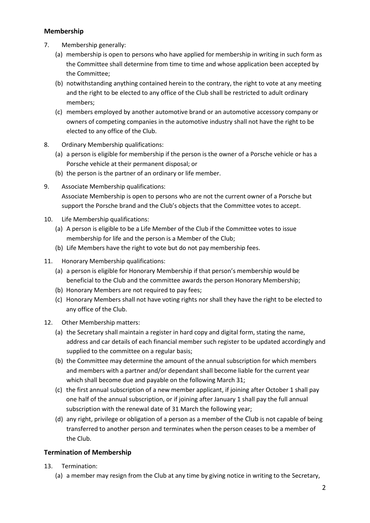## **Membership**

- 7. Membership generally:
	- (a) membership is open to persons who have applied for membership in writing in such form as the Committee shall determine from time to time and whose application been accepted by the Committee;
	- (b) notwithstanding anything contained herein to the contrary, the right to vote at any meeting and the right to be elected to any office of the Club shall be restricted to adult ordinary members;
	- (c) members employed by another automotive brand or an automotive accessory company or owners of competing companies in the automotive industry shall not have the right to be elected to any office of the Club.
- 8. Ordinary Membership qualifications:
	- (a) a person is eligible for membership if the person is the owner of a Porsche vehicle or has a Porsche vehicle at their permanent disposal; or
	- (b) the person is the partner of an ordinary or life member.
- 9. Associate Membership qualifications: Associate Membership is open to persons who are not the current owner of a Porsche but support the Porsche brand and the Club's objects that the Committee votes to accept.
- 10. Life Membership qualifications:
	- (a) A person is eligible to be a Life Member of the Club if the Committee votes to issue membership for life and the person is a Member of the Club;
	- (b) Life Members have the right to vote but do not pay membership fees.
- 11. Honorary Membership qualifications:
	- (a) a person is eligible for Honorary Membership if that person's membership would be beneficial to the Club and the committee awards the person Honorary Membership;
	- (b) Honorary Members are not required to pay fees;
	- (c) Honorary Members shall not have voting rights nor shall they have the right to be elected to any office of the Club.
- 12. Other Membership matters:
	- (a) the Secretary shall maintain a register in hard copy and digital form, stating the name, address and car details of each financial member such register to be updated accordingly and supplied to the committee on a regular basis;
	- (b) the Committee may determine the amount of the annual subscription for which members and members with a partner and/or dependant shall become liable for the current year which shall become due and payable on the following March 31;
	- (c) the first annual subscription of a new member applicant, if joining after October 1 shall pay one half of the annual subscription, or if joining after January 1 shall pay the full annual subscription with the renewal date of 31 March the following year;
	- (d) any right, privilege or obligation of a person as a member of the Club is not capable of being transferred to another person and terminates when the person ceases to be a member of the Club.

# **Termination of Membership**

- 13. Termination:
	- (a) a member may resign from the Club at any time by giving notice in writing to the Secretary,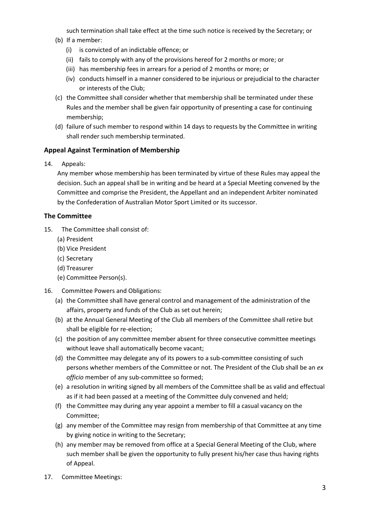such termination shall take effect at the time such notice is received by the Secretary; or (b) If a member:

- (i) is convicted of an indictable offence; or
- (ii) fails to comply with any of the provisions hereof for 2 months or more; or
- (iii) has membership fees in arrears for a period of 2 months or more; or
- (iv) conducts himself in a manner considered to be injurious or prejudicial to the character or interests of the Club;
- (c) the Committee shall consider whether that membership shall be terminated under these Rules and the member shall be given fair opportunity of presenting a case for continuing membership;
- (d) failure of such member to respond within 14 days to requests by the Committee in writing shall render such membership terminated.

## **Appeal Against Termination of Membership**

14. Appeals:

Any member whose membership has been terminated by virtue of these Rules may appeal the decision. Such an appeal shall be in writing and be heard at a Special Meeting convened by the Committee and comprise the President, the Appellant and an independent Arbiter nominated by the Confederation of Australian Motor Sport Limited or its successor.

## **The Committee**

- 15. The Committee shall consist of:
	- (a) President
	- (b) Vice President
	- (c) Secretary
	- (d) Treasurer
	- (e) Committee Person(s).
- 16. Committee Powers and Obligations:
	- (a) the Committee shall have general control and management of the administration of the affairs, property and funds of the Club as set out herein;
	- (b) at the Annual General Meeting of the Club all members of the Committee shall retire but shall be eligible for re-election;
	- (c) the position of any committee member absent for three consecutive committee meetings without leave shall automatically become vacant;
	- (d) the Committee may delegate any of its powers to a sub-committee consisting of such persons whether members of the Committee or not. The President of the Club shall be an *ex officio* member of any sub-committee so formed;
	- (e) a resolution in writing signed by all members of the Committee shall be as valid and effectual as if it had been passed at a meeting of the Committee duly convened and held;
	- (f) the Committee may during any year appoint a member to fill a casual vacancy on the Committee;
	- (g) any member of the Committee may resign from membership of that Committee at any time by giving notice in writing to the Secretary;
	- (h) any member may be removed from office at a Special General Meeting of the Club, where such member shall be given the opportunity to fully present his/her case thus having rights of Appeal.
- 17. Committee Meetings: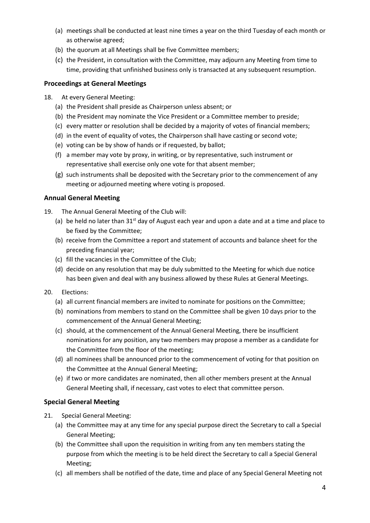- (a) meetings shall be conducted at least nine times a year on the third Tuesday of each month or as otherwise agreed;
- (b) the quorum at all Meetings shall be five Committee members;
- (c) the President, in consultation with the Committee, may adjourn any Meeting from time to time, providing that unfinished business only is transacted at any subsequent resumption.

#### **Proceedings at General Meetings**

- 18. At every General Meeting:
	- (a) the President shall preside as Chairperson unless absent; or
	- (b) the President may nominate the Vice President or a Committee member to preside;
	- (c) every matter or resolution shall be decided by a majority of votes of financial members;
	- (d) in the event of equality of votes, the Chairperson shall have casting or second vote;
	- (e) voting can be by show of hands or if requested, by ballot;
	- (f) a member may vote by proxy, in writing, or by representative, such instrument or representative shall exercise only one vote for that absent member;
	- (g) such instruments shall be deposited with the Secretary prior to the commencement of any meeting or adjourned meeting where voting is proposed.

#### **Annual General Meeting**

- 19. The Annual General Meeting of the Club will:
	- (a) be held no later than  $31<sup>st</sup>$  day of August each year and upon a date and at a time and place to be fixed by the Committee;
	- (b) receive from the Committee a report and statement of accounts and balance sheet for the preceding financial year;
	- (c) fill the vacancies in the Committee of the Club;
	- (d) decide on any resolution that may be duly submitted to the Meeting for which due notice has been given and deal with any business allowed by these Rules at General Meetings.
- 20. Elections:
	- (a) all current financial members are invited to nominate for positions on the Committee;
	- (b) nominations from members to stand on the Committee shall be given 10 days prior to the commencement of the Annual General Meeting;
	- (c) should, at the commencement of the Annual General Meeting, there be insufficient nominations for any position, any two members may propose a member as a candidate for the Committee from the floor of the meeting;
	- (d) all nominees shall be announced prior to the commencement of voting for that position on the Committee at the Annual General Meeting;
	- (e) if two or more candidates are nominated, then all other members present at the Annual General Meeting shall, if necessary, cast votes to elect that committee person.

#### **Special General Meeting**

- 21. Special General Meeting:
	- (a) the Committee may at any time for any special purpose direct the Secretary to call a Special General Meeting;
	- (b) the Committee shall upon the requisition in writing from any ten members stating the purpose from which the meeting is to be held direct the Secretary to call a Special General Meeting;
	- (c) all members shall be notified of the date, time and place of any Special General Meeting not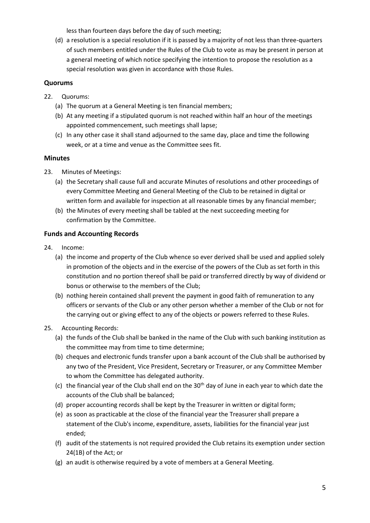less than fourteen days before the day of such meeting;

(d) a resolution is a special resolution if it is passed by a majority of not less than three-quarters of such members entitled under the Rules of the Club to vote as may be present in person at a general meeting of which notice specifying the intention to propose the resolution as a special resolution was given in accordance with those Rules.

## **Quorums**

- 22. Quorums:
	- (a) The quorum at a General Meeting is ten financial members;
	- (b) At any meeting if a stipulated quorum is not reached within half an hour of the meetings appointed commencement, such meetings shall lapse;
	- (c) In any other case it shall stand adjourned to the same day, place and time the following week, or at a time and venue as the Committee sees fit.

#### **Minutes**

- 23. Minutes of Meetings:
	- (a) the Secretary shall cause full and accurate Minutes of resolutions and other proceedings of every Committee Meeting and General Meeting of the Club to be retained in digital or written form and available for inspection at all reasonable times by any financial member;
	- (b) the Minutes of every meeting shall be tabled at the next succeeding meeting for confirmation by the Committee.

## **Funds and Accounting Records**

- 24. Income:
	- (a) the income and property of the Club whence so ever derived shall be used and applied solely in promotion of the objects and in the exercise of the powers of the Club as set forth in this constitution and no portion thereof shall be paid or transferred directly by way of dividend or bonus or otherwise to the members of the Club;
	- (b) nothing herein contained shall prevent the payment in good faith of remuneration to any officers or servants of the Club or any other person whether a member of the Club or not for the carrying out or giving effect to any of the objects or powers referred to these Rules.
- 25. Accounting Records:
	- (a) the funds of the Club shall be banked in the name of the Club with such banking institution as the committee may from time to time determine;
	- (b) cheques and electronic funds transfer upon a bank account of the Club shall be authorised by any two of the President, Vice President, Secretary or Treasurer, or any Committee Member to whom the Committee has delegated authority.
	- (c) the financial year of the Club shall end on the  $30<sup>th</sup>$  day of June in each year to which date the accounts of the Club shall be balanced;
	- (d) proper accounting records shall be kept by the Treasurer in written or digital form;
	- (e) as soon as practicable at the close of the financial year the Treasurer shall prepare a statement of the Club's income, expenditure, assets, liabilities for the financial year just ended;
	- (f) audit of the statements is not required provided the Club retains its exemption under section 24(1B) of the Act; or
	- (g) an audit is otherwise required by a vote of members at a General Meeting.